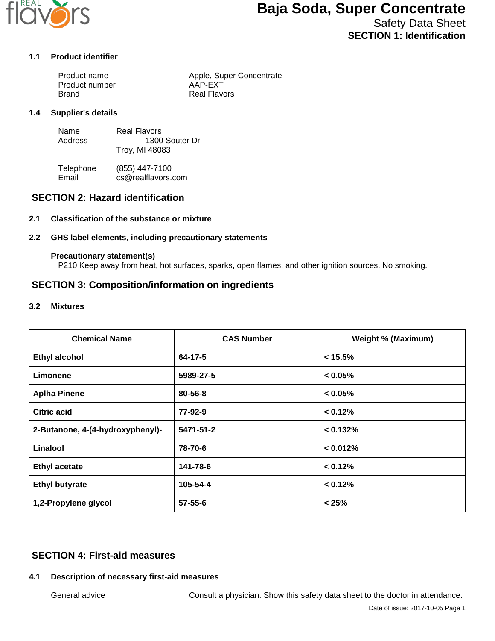

## **Baja Soda, Super Concentrate**

Safety Data Sheet **SECTION 1: Identification**

#### **1.1 Product identifier**

| Product name   | Apple, Super Concentrate |
|----------------|--------------------------|
| Product number | AAP-EXT                  |
| Brand          | Real Flavors             |

#### **1.4 Supplier's details**

| Name    | Real Flavors   |
|---------|----------------|
| Address | 1300 Souter Dr |
|         | Troy, MI 48083 |

Telephone (855) 447-7100<br>Email cs@realflavors. cs@realflavors.com

## **SECTION 2: Hazard identification**

#### **2.1 Classification of the substance or mixture**

#### **2.2 GHS label elements, including precautionary statements**

#### **Precautionary statement(s)**

P210 Keep away from heat, hot surfaces, sparks, open flames, and other ignition sources. No smoking.

## **SECTION 3: Composition/information on ingredients**

#### **3.2 Mixtures**

| <b>Chemical Name</b>             | <b>CAS Number</b> | <b>Weight % (Maximum)</b> |
|----------------------------------|-------------------|---------------------------|
| <b>Ethyl alcohol</b>             | 64-17-5           | $< 15.5\%$                |
| Limonene                         | 5989-27-5         | $< 0.05\%$                |
| <b>Aplha Pinene</b>              | 80-56-8           | $< 0.05\%$                |
| <b>Citric acid</b>               | 77-92-9           | < 0.12%                   |
| 2-Butanone, 4-(4-hydroxyphenyl)- | 5471-51-2         | < 0.132%                  |
| Linalool                         | 78-70-6           | < 0.012%                  |
| <b>Ethyl acetate</b>             | 141-78-6          | < 0.12%                   |
| <b>Ethyl butyrate</b>            | 105-54-4          | < 0.12%                   |
| 1,2-Propylene glycol             | $57 - 55 - 6$     | < 25%                     |

## **SECTION 4: First-aid measures**

#### **4.1 Description of necessary first-aid measures**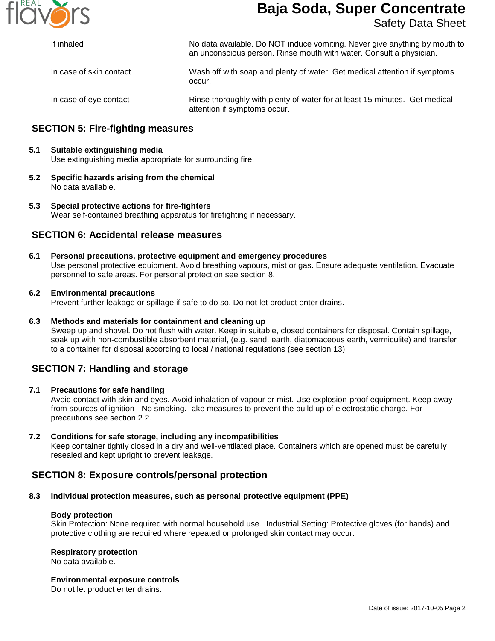

# **Baja Soda, Super Concentrate**

## Safety Data Sheet

| If inhaled              | No data available. Do NOT induce vomiting. Never give anything by mouth to<br>an unconscious person. Rinse mouth with water. Consult a physician.<br>Wash off with soap and plenty of water. Get medical attention if symptoms<br>occur. |  |
|-------------------------|------------------------------------------------------------------------------------------------------------------------------------------------------------------------------------------------------------------------------------------|--|
| In case of skin contact |                                                                                                                                                                                                                                          |  |
| In case of eye contact  | Rinse thoroughly with plenty of water for at least 15 minutes. Get medical<br>attention if symptoms occur.                                                                                                                               |  |

## **SECTION 5: Fire-fighting measures**

#### **5.1 Suitable extinguishing media** Use extinguishing media appropriate for surrounding fire.

**5.2 Specific hazards arising from the chemical** No data available.

#### **5.3 Special protective actions for fire-fighters** Wear self-contained breathing apparatus for firefighting if necessary.

## **SECTION 6: Accidental release measures**

**6.1 Personal precautions, protective equipment and emergency procedures** Use personal protective equipment. Avoid breathing vapours, mist or gas. Ensure adequate ventilation. Evacuate personnel to safe areas. For personal protection see section 8.

#### **6.2 Environmental precautions**

Prevent further leakage or spillage if safe to do so. Do not let product enter drains.

#### **6.3 Methods and materials for containment and cleaning up**

Sweep up and shovel. Do not flush with water. Keep in suitable, closed containers for disposal. Contain spillage, soak up with non-combustible absorbent material, (e.g. sand, earth, diatomaceous earth, vermiculite) and transfer to a container for disposal according to local / national regulations (see section 13)

## **SECTION 7: Handling and storage**

#### **7.1 Precautions for safe handling**

Avoid contact with skin and eyes. Avoid inhalation of vapour or mist. Use explosion-proof equipment. Keep away from sources of ignition - No smoking.Take measures to prevent the build up of electrostatic charge. For precautions see section 2.2.

#### **7.2 Conditions for safe storage, including any incompatibilities**

Keep container tightly closed in a dry and well-ventilated place. Containers which are opened must be carefully resealed and kept upright to prevent leakage.

## **SECTION 8: Exposure controls/personal protection**

#### **8.3 Individual protection measures, such as personal protective equipment (PPE)**

#### **Body protection**

Skin Protection: None required with normal household use. Industrial Setting: Protective gloves (for hands) and protective clothing are required where repeated or prolonged skin contact may occur.

#### **Respiratory protection**

No data available.

#### **Environmental exposure controls**

Do not let product enter drains.